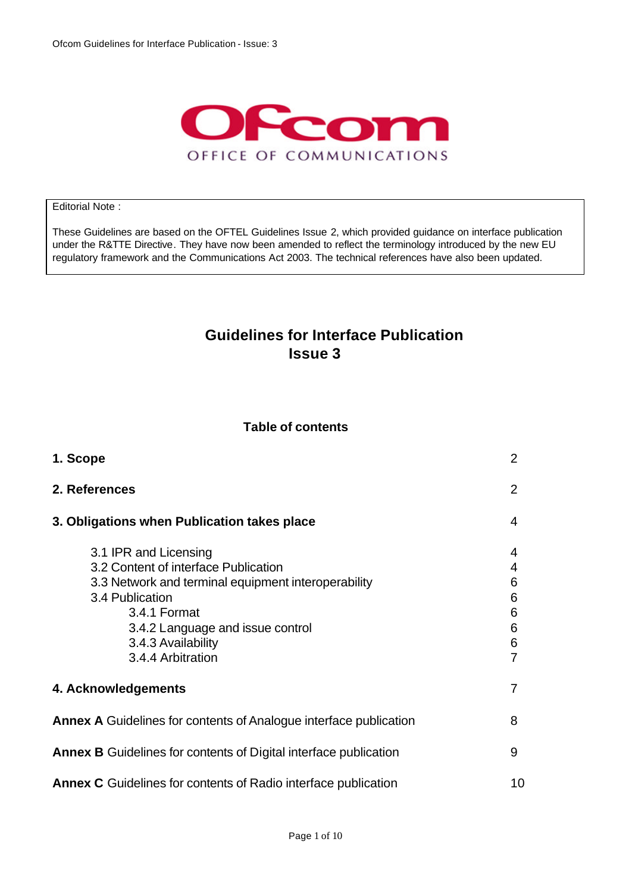

#### Editorial Note :

These Guidelines are based on the OFTEL Guidelines Issue 2, which provided guidance on interface publication under the R&TTE Directive. They have now been amended to reflect the terminology introduced by the new EU regulatory framework and the Communications Act 2003. The technical references have also been updated.

### **Guidelines for Interface Publication Issue 3**

#### **Table of contents**

| 1. Scope                                                                                                                                                                                                                               | 2                               |
|----------------------------------------------------------------------------------------------------------------------------------------------------------------------------------------------------------------------------------------|---------------------------------|
| 2. References                                                                                                                                                                                                                          | 2                               |
| 3. Obligations when Publication takes place                                                                                                                                                                                            | 4                               |
| 3.1 IPR and Licensing<br>3.2 Content of interface Publication<br>3.3 Network and terminal equipment interoperability<br>3.4 Publication<br>3.4.1 Format<br>3.4.2 Language and issue control<br>3.4.3 Availability<br>3.4.4 Arbitration | 4<br>4<br>6<br>6<br>6<br>6<br>6 |
| 4. Acknowledgements                                                                                                                                                                                                                    |                                 |
| <b>Annex A</b> Guidelines for contents of Analogue interface publication                                                                                                                                                               | 8                               |
| <b>Annex B</b> Guidelines for contents of Digital interface publication                                                                                                                                                                | 9                               |
| <b>Annex C</b> Guidelines for contents of Radio interface publication                                                                                                                                                                  | 10                              |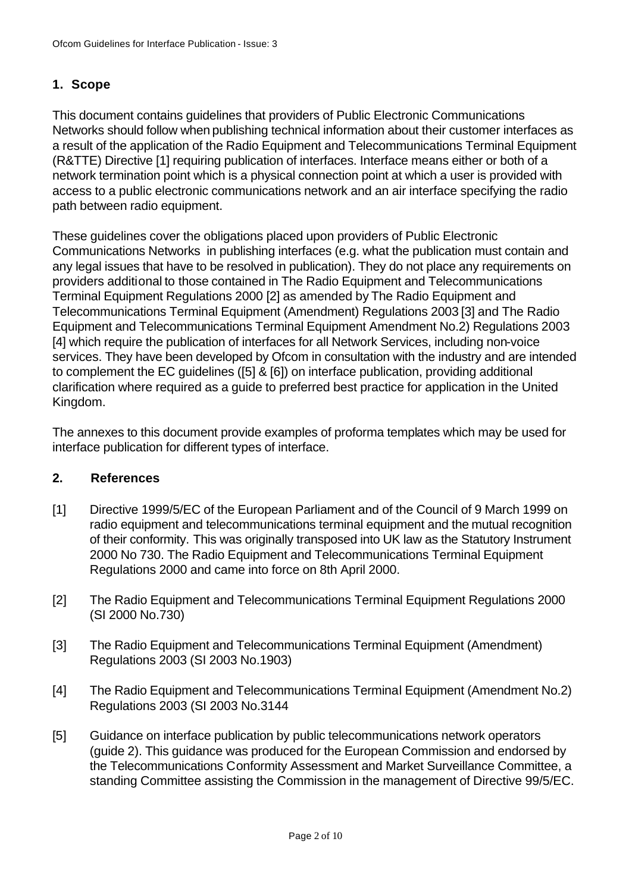#### **1. Scope**

This document contains guidelines that providers of Public Electronic Communications Networks should follow when publishing technical information about their customer interfaces as a result of the application of the Radio Equipment and Telecommunications Terminal Equipment (R&TTE) Directive [1] requiring publication of interfaces. Interface means either or both of a network termination point which is a physical connection point at which a user is provided with access to a public electronic communications network and an air interface specifying the radio path between radio equipment.

These guidelines cover the obligations placed upon providers of Public Electronic Communications Networks in publishing interfaces (e.g. what the publication must contain and any legal issues that have to be resolved in publication). They do not place any requirements on providers additional to those contained in The Radio Equipment and Telecommunications Terminal Equipment Regulations 2000 [2] as amended by The Radio Equipment and Telecommunications Terminal Equipment (Amendment) Regulations 2003 [3] and The Radio Equipment and Telecommunications Terminal Equipment Amendment No.2) Regulations 2003 [4] which require the publication of interfaces for all Network Services, including non-voice services. They have been developed by Ofcom in consultation with the industry and are intended to complement the EC guidelines ([5] & [6]) on interface publication, providing additional clarification where required as a guide to preferred best practice for application in the United Kingdom.

The annexes to this document provide examples of proforma templates which may be used for interface publication for different types of interface.

#### **2. References**

- [1] Directive 1999/5/EC of the European Parliament and of the Council of 9 March 1999 on radio equipment and telecommunications terminal equipment and the mutual recognition of their conformity. This was originally transposed into UK law as the Statutory Instrument 2000 No 730. The Radio Equipment and Telecommunications Terminal Equipment Regulations 2000 and came into force on 8th April 2000.
- [2] The Radio Equipment and Telecommunications Terminal Equipment Regulations 2000 (SI 2000 No.730)
- [3] The Radio Equipment and Telecommunications Terminal Equipment (Amendment) Regulations 2003 (SI 2003 No.1903)
- [4] The Radio Equipment and Telecommunications Terminal Equipment (Amendment No.2) Regulations 2003 (SI 2003 No.3144
- [5] Guidance on interface publication by public telecommunications network operators (guide 2). This guidance was produced for the European Commission and endorsed by the Telecommunications Conformity Assessment and Market Surveillance Committee, a standing Committee assisting the Commission in the management of Directive 99/5/EC.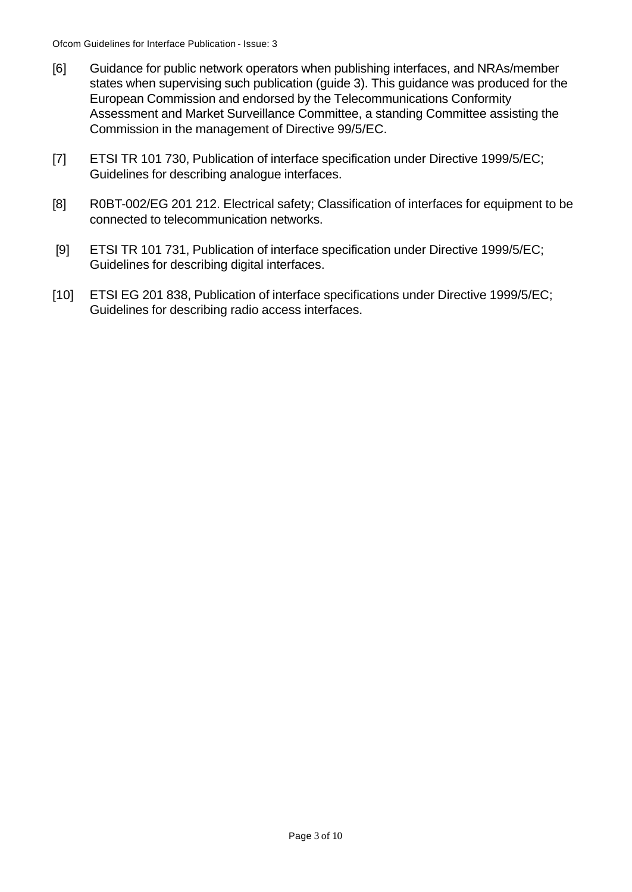- [6] Guidance for public network operators when publishing interfaces, and NRAs/member states when supervising such publication (guide 3). This guidance was produced for the European Commission and endorsed by the Telecommunications Conformity Assessment and Market Surveillance Committee, a standing Committee assisting the Commission in the management of Directive 99/5/EC.
- [7] ETSI TR 101 730, Publication of interface specification under Directive 1999/5/EC; Guidelines for describing analogue interfaces.
- [8] R0BT-002/EG 201 212. Electrical safety; Classification of interfaces for equipment to be connected to telecommunication networks.
- [9] ETSI TR 101 731, Publication of interface specification under Directive 1999/5/EC; Guidelines for describing digital interfaces.
- [10] ETSI EG 201 838, Publication of interface specifications under Directive 1999/5/EC; Guidelines for describing radio access interfaces.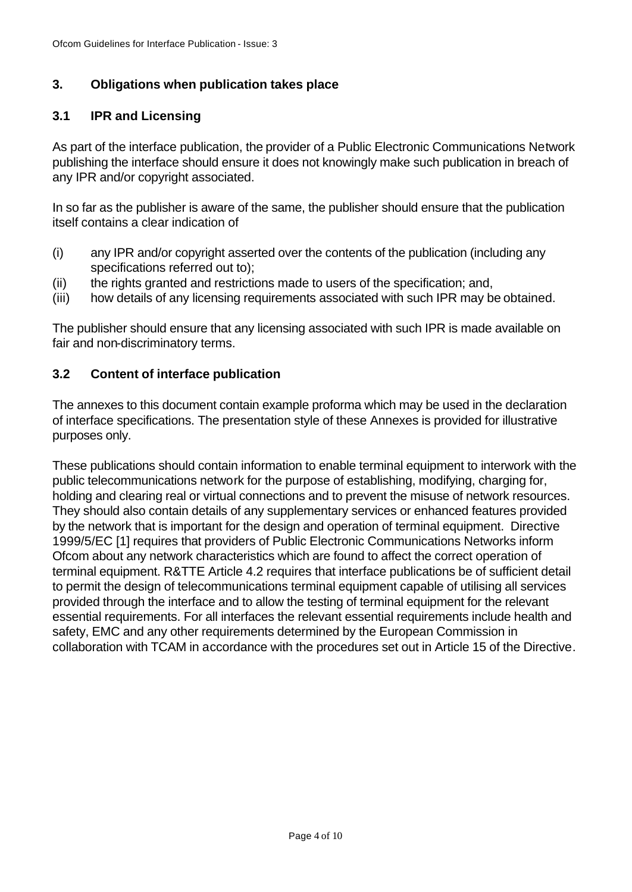#### **3. Obligations when publication takes place**

#### **3.1 IPR and Licensing**

As part of the interface publication, the provider of a Public Electronic Communications Network publishing the interface should ensure it does not knowingly make such publication in breach of any IPR and/or copyright associated.

In so far as the publisher is aware of the same, the publisher should ensure that the publication itself contains a clear indication of

- (i) any IPR and/or copyright asserted over the contents of the publication (including any specifications referred out to);
- (ii) the rights granted and restrictions made to users of the specification; and,
- (iii) how details of any licensing requirements associated with such IPR may be obtained.

The publisher should ensure that any licensing associated with such IPR is made available on fair and non-discriminatory terms.

#### **3.2 Content of interface publication**

The annexes to this document contain example proforma which may be used in the declaration of interface specifications. The presentation style of these Annexes is provided for illustrative purposes only.

These publications should contain information to enable terminal equipment to interwork with the public telecommunications network for the purpose of establishing, modifying, charging for, holding and clearing real or virtual connections and to prevent the misuse of network resources. They should also contain details of any supplementary services or enhanced features provided by the network that is important for the design and operation of terminal equipment. Directive 1999/5/EC [1] requires that providers of Public Electronic Communications Networks inform Ofcom about any network characteristics which are found to affect the correct operation of terminal equipment. R&TTE Article 4.2 requires that interface publications be of sufficient detail to permit the design of telecommunications terminal equipment capable of utilising all services provided through the interface and to allow the testing of terminal equipment for the relevant essential requirements. For all interfaces the relevant essential requirements include health and safety, EMC and any other requirements determined by the European Commission in collaboration with TCAM in accordance with the procedures set out in Article 15 of the Directive.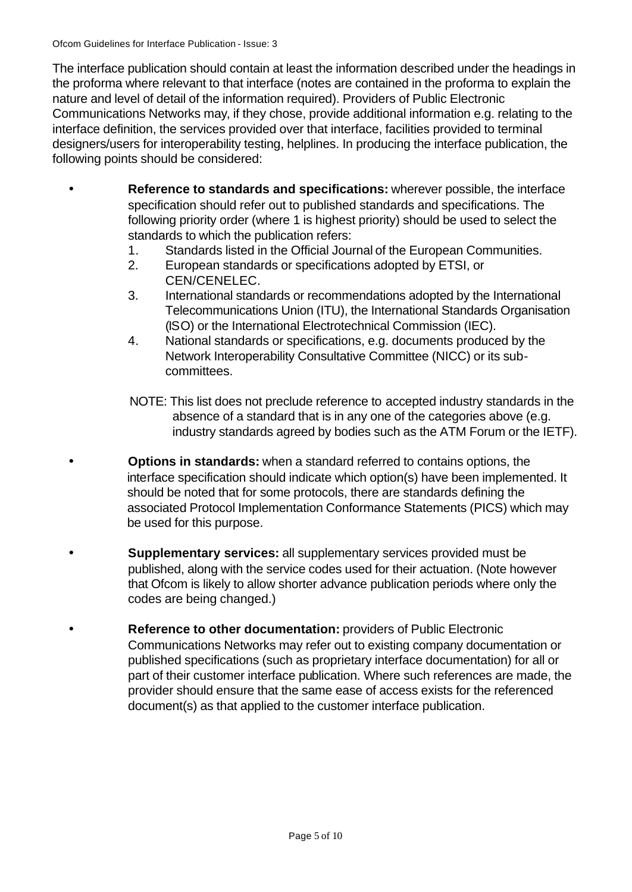Ofcom Guidelines for Interface Publication - Issue: 3

The interface publication should contain at least the information described under the headings in the proforma where relevant to that interface (notes are contained in the proforma to explain the nature and level of detail of the information required). Providers of Public Electronic Communications Networks may, if they chose, provide additional information e.g. relating to the interface definition, the services provided over that interface, facilities provided to terminal designers/users for interoperability testing, helplines. In producing the interface publication, the following points should be considered:

- **Reference to standards and specifications:** wherever possible, the interface specification should refer out to published standards and specifications. The following priority order (where 1 is highest priority) should be used to select the standards to which the publication refers:
	- 1. Standards listed in the Official Journal of the European Communities.
	- 2. European standards or specifications adopted by ETSI, or CEN/CENELEC.
	- 3. International standards or recommendations adopted by the International Telecommunications Union (ITU), the International Standards Organisation (ISO) or the International Electrotechnical Commission (IEC).
	- 4. National standards or specifications, e.g. documents produced by the Network Interoperability Consultative Committee (NICC) or its subcommittees.
	- NOTE: This list does not preclude reference to accepted industry standards in the absence of a standard that is in any one of the categories above (e.g. industry standards agreed by bodies such as the ATM Forum or the IETF).
- **Options in standards:** when a standard referred to contains options, the interface specification should indicate which option(s) have been implemented. It should be noted that for some protocols, there are standards defining the associated Protocol Implementation Conformance Statements (PICS) which may be used for this purpose.
- **Supplementary services:** all supplementary services provided must be published, along with the service codes used for their actuation. (Note however that Ofcom is likely to allow shorter advance publication periods where only the codes are being changed.)
- **Reference to other documentation:** providers of Public Electronic Communications Networks may refer out to existing company documentation or published specifications (such as proprietary interface documentation) for all or part of their customer interface publication. Where such references are made, the provider should ensure that the same ease of access exists for the referenced document(s) as that applied to the customer interface publication.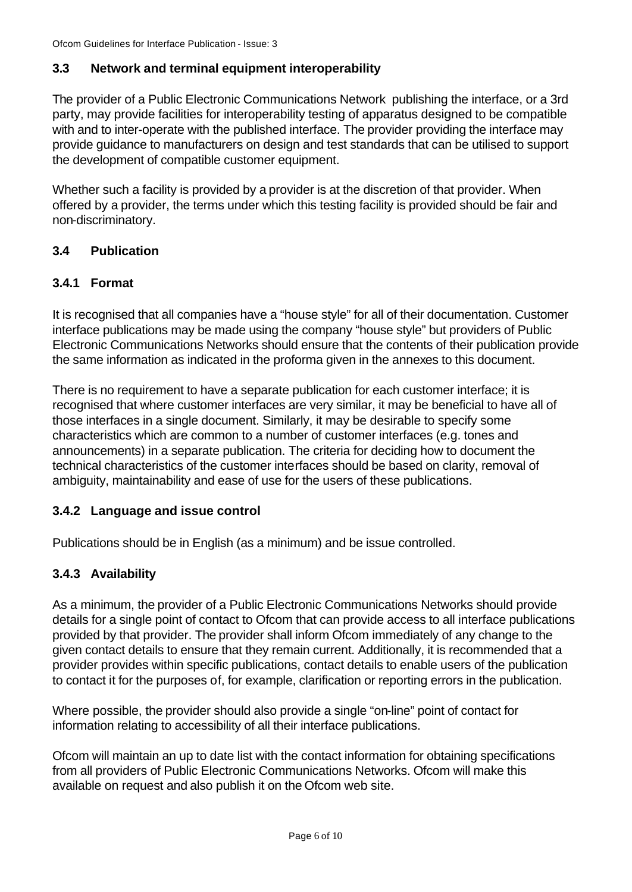### **3.3 Network and terminal equipment interoperability**

The provider of a Public Electronic Communications Network publishing the interface, or a 3rd party, may provide facilities for interoperability testing of apparatus designed to be compatible with and to inter-operate with the published interface. The provider providing the interface may provide guidance to manufacturers on design and test standards that can be utilised to support the development of compatible customer equipment.

Whether such a facility is provided by a provider is at the discretion of that provider. When offered by a provider, the terms under which this testing facility is provided should be fair and non-discriminatory.

#### **3.4 Publication**

#### **3.4.1 Format**

It is recognised that all companies have a "house style" for all of their documentation. Customer interface publications may be made using the company "house style" but providers of Public Electronic Communications Networks should ensure that the contents of their publication provide the same information as indicated in the proforma given in the annexes to this document.

There is no requirement to have a separate publication for each customer interface; it is recognised that where customer interfaces are very similar, it may be beneficial to have all of those interfaces in a single document. Similarly, it may be desirable to specify some characteristics which are common to a number of customer interfaces (e.g. tones and announcements) in a separate publication. The criteria for deciding how to document the technical characteristics of the customer interfaces should be based on clarity, removal of ambiguity, maintainability and ease of use for the users of these publications.

### **3.4.2 Language and issue control**

Publications should be in English (as a minimum) and be issue controlled.

### **3.4.3 Availability**

As a minimum, the provider of a Public Electronic Communications Networks should provide details for a single point of contact to Ofcom that can provide access to all interface publications provided by that provider. The provider shall inform Ofcom immediately of any change to the given contact details to ensure that they remain current. Additionally, it is recommended that a provider provides within specific publications, contact details to enable users of the publication to contact it for the purposes of, for example, clarification or reporting errors in the publication.

Where possible, the provider should also provide a single "on-line" point of contact for information relating to accessibility of all their interface publications.

Ofcom will maintain an up to date list with the contact information for obtaining specifications from all providers of Public Electronic Communications Networks. Ofcom will make this available on request and also publish it on the Ofcom web site.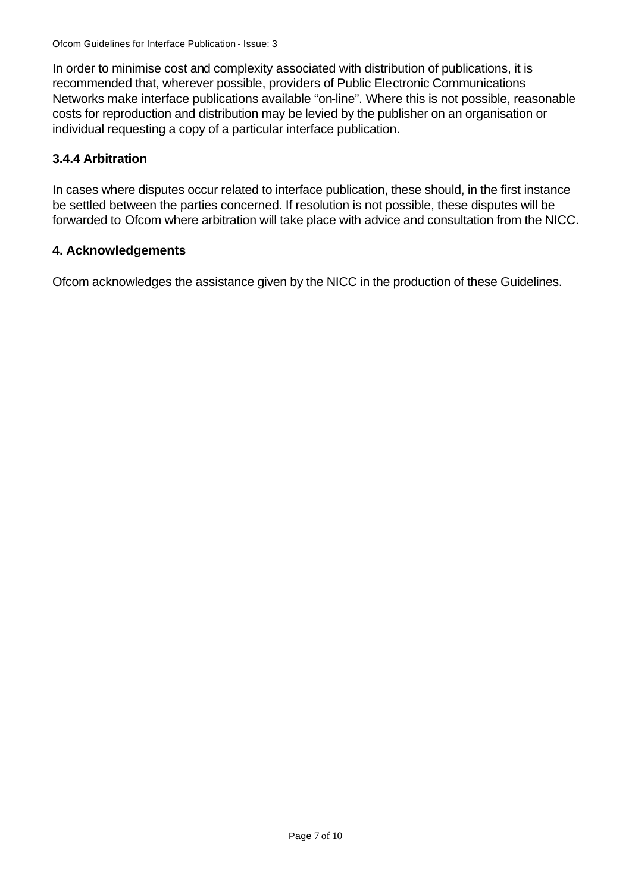In order to minimise cost and complexity associated with distribution of publications, it is recommended that, wherever possible, providers of Public Electronic Communications Networks make interface publications available "on-line". Where this is not possible, reasonable costs for reproduction and distribution may be levied by the publisher on an organisation or individual requesting a copy of a particular interface publication.

#### **3.4.4 Arbitration**

In cases where disputes occur related to interface publication, these should, in the first instance be settled between the parties concerned. If resolution is not possible, these disputes will be forwarded to Ofcom where arbitration will take place with advice and consultation from the NICC.

#### **4. Acknowledgements**

Ofcom acknowledges the assistance given by the NICC in the production of these Guidelines.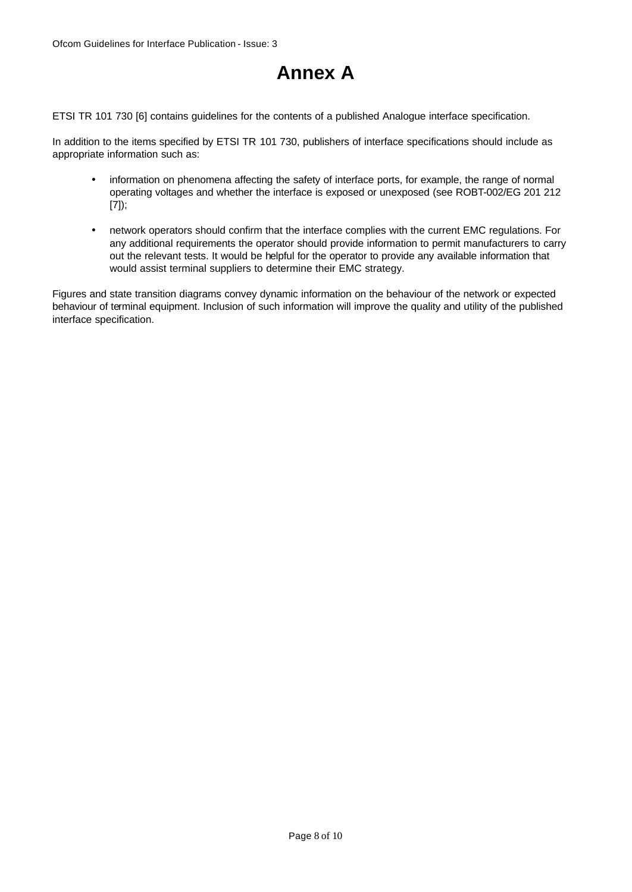## **Annex A**

ETSI TR 101 730 [6] contains guidelines for the contents of a published Analogue interface specification.

In addition to the items specified by ETSI TR 101 730, publishers of interface specifications should include as appropriate information such as:

- information on phenomena affecting the safety of interface ports, for example, the range of normal operating voltages and whether the interface is exposed or unexposed (see ROBT-002/EG 201 212 [7]);
- network operators should confirm that the interface complies with the current EMC regulations. For any additional requirements the operator should provide information to permit manufacturers to carry out the relevant tests. It would be helpful for the operator to provide any available information that would assist terminal suppliers to determine their EMC strategy.

Figures and state transition diagrams convey dynamic information on the behaviour of the network or expected behaviour of terminal equipment. Inclusion of such information will improve the quality and utility of the published interface specification.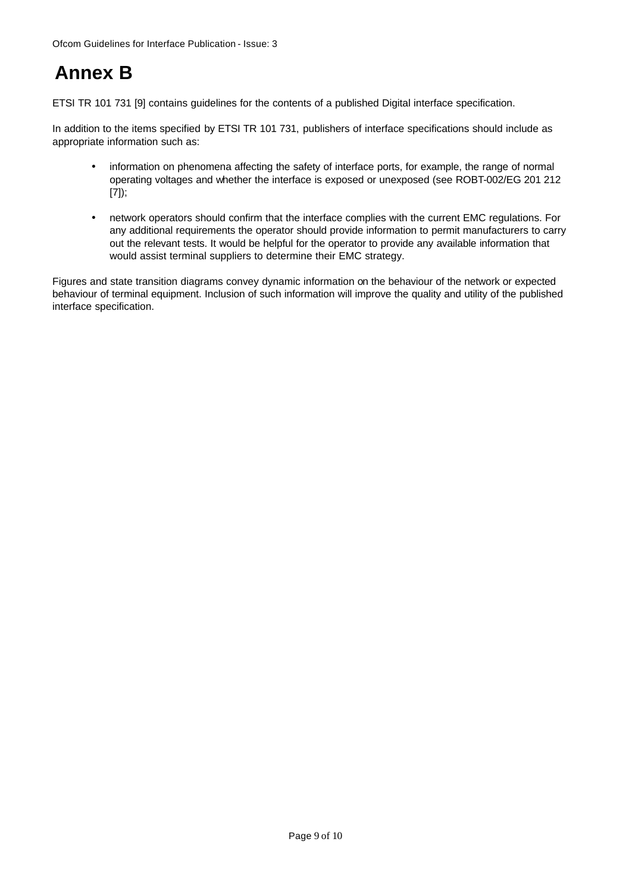## **Annex B**

ETSI TR 101 731 [9] contains guidelines for the contents of a published Digital interface specification.

In addition to the items specified by ETSI TR 101 731, publishers of interface specifications should include as appropriate information such as:

- information on phenomena affecting the safety of interface ports, for example, the range of normal operating voltages and whether the interface is exposed or unexposed (see ROBT-002/EG 201 212 [7]);
- network operators should confirm that the interface complies with the current EMC regulations. For any additional requirements the operator should provide information to permit manufacturers to carry out the relevant tests. It would be helpful for the operator to provide any available information that would assist terminal suppliers to determine their EMC strategy.

Figures and state transition diagrams convey dynamic information on the behaviour of the network or expected behaviour of terminal equipment. Inclusion of such information will improve the quality and utility of the published interface specification.